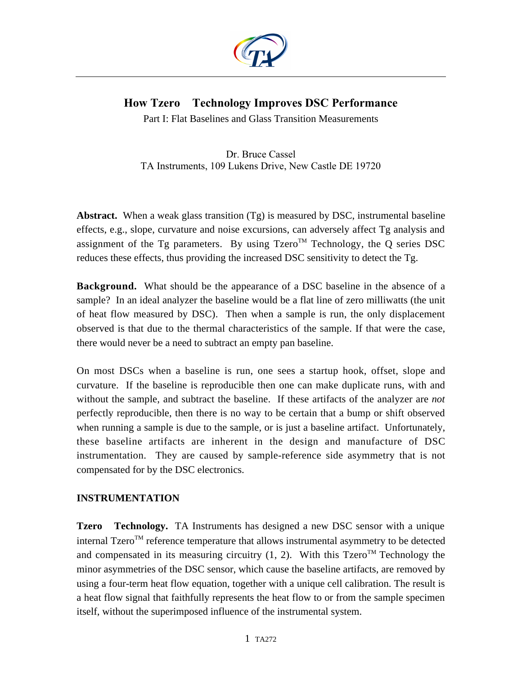

# **How Tzero Technology Improves DSC Performance**

Part I: Flat Baselines and Glass Transition Measurements

Dr. Bruce Cassel TA Instruments, 109 Lukens Drive, New Castle DE 19720

**Abstract.** When a weak glass transition (Tg) is measured by DSC, instrumental baseline effects, e.g., slope, curvature and noise excursions, can adversely affect Tg analysis and assignment of the Tg parameters. By using  $Tzero^{TM}$  Technology, the Q series DSC reduces these effects, thus providing the increased DSC sensitivity to detect the Tg.

**Background.** What should be the appearance of a DSC baseline in the absence of a sample? In an ideal analyzer the baseline would be a flat line of zero milliwatts (the unit of heat flow measured by DSC). Then when a sample is run, the only displacement observed is that due to the thermal characteristics of the sample. If that were the case, there would never be a need to subtract an empty pan baseline.

On most DSCs when a baseline is run, one sees a startup hook, offset, slope and curvature. If the baseline is reproducible then one can make duplicate runs, with and without the sample, and subtract the baseline. If these artifacts of the analyzer are *not* perfectly reproducible, then there is no way to be certain that a bump or shift observed when running a sample is due to the sample, or is just a baseline artifact. Unfortunately, these baseline artifacts are inherent in the design and manufacture of DSC instrumentation. They are caused by sample-reference side asymmetry that is not compensated for by the DSC electronics.

## **INSTRUMENTATION**

**Tzero<sup>™</sup> Technology.** TA Instruments has designed a new DSC sensor with a unique internal Tzero<sup>TM</sup> reference temperature that allows instrumental asymmetry to be detected and compensated in its measuring circuitry  $(1, 2)$ . With this Tzero<sup>TM</sup> Technology the minor asymmetries of the DSC sensor, which cause the baseline artifacts, are removed by using a four-term heat flow equation, together with a unique cell calibration. The result is a heat flow signal that faithfully represents the heat flow to or from the sample specimen itself, without the superimposed influence of the instrumental system.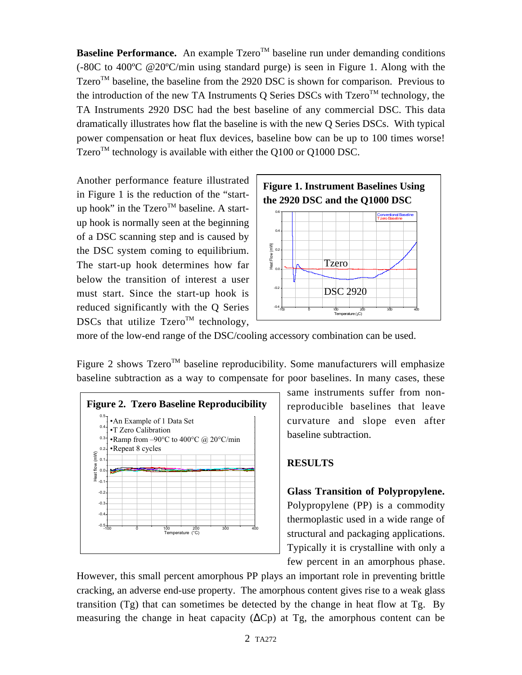**Baseline Performance.** An example  $Tzero^{TM}$  baseline run under demanding conditions (-80C to 400ºC @20ºC/min using standard purge) is seen in Figure 1. Along with the Tzero<sup>TM</sup> baseline, the baseline from the 2920 DSC is shown for comparison. Previous to the introduction of the new TA Instruments Q Series DSCs with  $Tzero^{TM}$  technology, the TA Instruments 2920 DSC had the best baseline of any commercial DSC. This data dramatically illustrates how flat the baseline is with the new Q Series DSCs. With typical power compensation or heat flux devices, baseline bow can be up to 100 times worse! Tzero<sup>TM</sup> technology is available with either the Q100 or Q1000 DSC.

Another performance feature illustrated in Figure 1 is the reduction of the "startup hook" in the Tzero<sup>TM</sup> baseline. A startup hook is normally seen at the beginning of a DSC scanning step and is caused by the DSC system coming to equilibrium. The start-up hook determines how far below the transition of interest a user must start. Since the start-up hook is reduced significantly with the Q Series DSCs that utilize  $Tzero^{TM}$  technology,



more of the low-end range of the DSC/cooling accessory combination can be used.

Figure 2 shows  $Tzero^{TM}$  baseline reproducibility. Some manufacturers will emphasize baseline subtraction as a way to compensate for poor baselines. In many cases, these



same instruments suffer from nonreproducible baselines that leave curvature and slope even after baseline subtraction.

#### **RESULTS**

**Glass Transition of Polypropylene.** Polypropylene (PP) is a commodity thermoplastic used in a wide range of structural and packaging applications. Typically it is crystalline with only a few percent in an amorphous phase.

However, this small percent amorphous PP plays an important role in preventing brittle cracking, an adverse end-use property. The amorphous content gives rise to a weak glass transition (Tg) that can sometimes be detected by the change in heat flow at Tg. By measuring the change in heat capacity ( $\Delta C$ p) at Tg, the amorphous content can be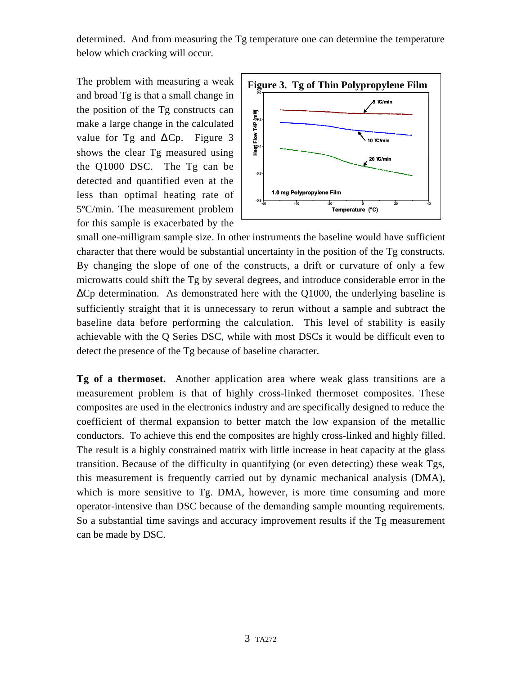determined. And from measuring the Tg temperature one can determine the temperature below which cracking will occur.

The problem with measuring a weak and broad Tg is that a small change in the position of the Tg constructs can make a large change in the calculated value for Tg and ∆Cp. Figure 3 shows the clear Tg measured using the Q1000 DSC. The Tg can be detected and quantified even at the less than optimal heating rate of 5ºC/min. The measurement problem for this sample is exacerbated by the



small one-milligram sample size. In other instruments the baseline would have sufficient character that there would be substantial uncertainty in the position of the Tg constructs. By changing the slope of one of the constructs, a drift or curvature of only a few microwatts could shift the Tg by several degrees, and introduce considerable error in the  $\Delta$ Cp determination. As demonstrated here with the Q1000, the underlying baseline is sufficiently straight that it is unnecessary to rerun without a sample and subtract the baseline data before performing the calculation. This level of stability is easily achievable with the Q Series DSC, while with most DSCs it would be difficult even to detect the presence of the Tg because of baseline character.

**Tg of a thermoset.** Another application area where weak glass transitions are a measurement problem is that of highly cross-linked thermoset composites. These composites are used in the electronics industry and are specifically designed to reduce the coefficient of thermal expansion to better match the low expansion of the metallic conductors. To achieve this end the composites are highly cross-linked and highly filled. The result is a highly constrained matrix with little increase in heat capacity at the glass transition. Because of the difficulty in quantifying (or even detecting) these weak Tgs, this measurement is frequently carried out by dynamic mechanical analysis (DMA), which is more sensitive to Tg. DMA, however, is more time consuming and more operator-intensive than DSC because of the demanding sample mounting requirements. So a substantial time savings and accuracy improvement results if the Tg measurement can be made by DSC.